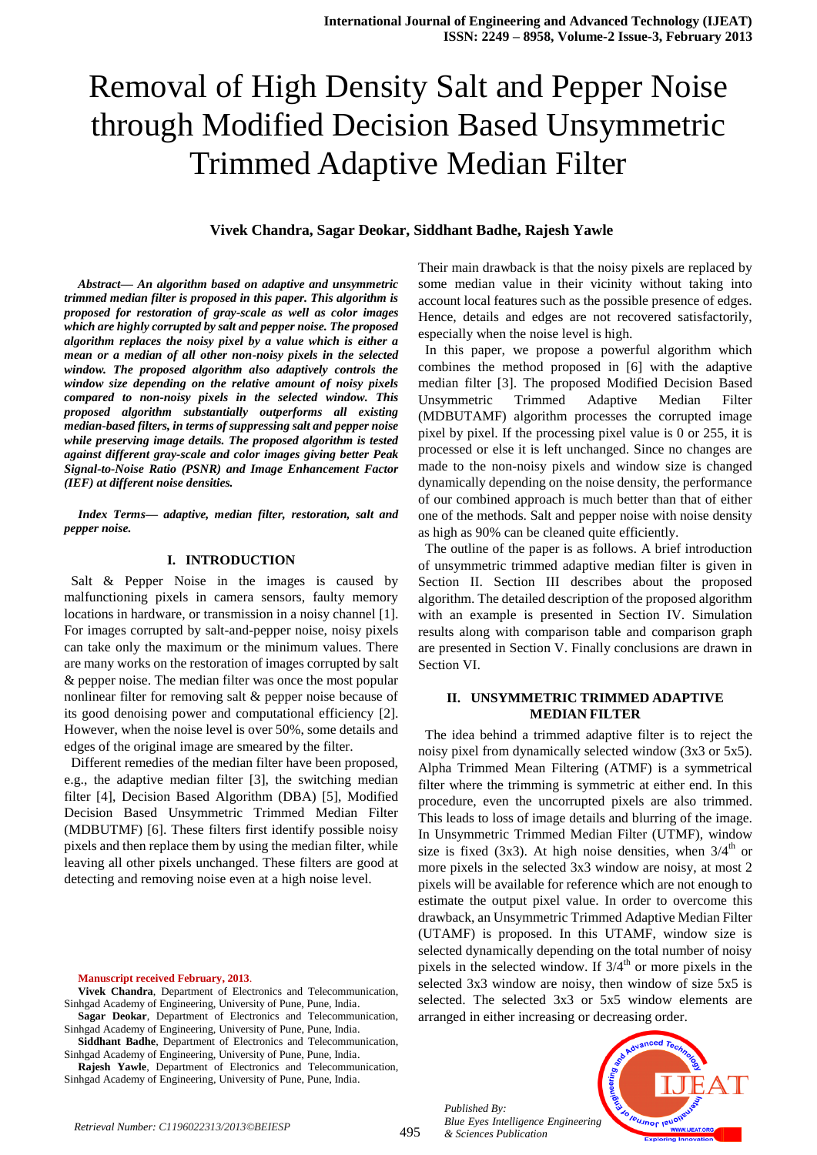# Removal of High Density Salt and Pepper Noise through Modified Decision Based Unsymmetric Trimmed Adaptive Median Filter

## **Vivek Chandra, Sagar Deokar, Siddhant Badhe, Rajesh Yawle**

*Abstract— An algorithm based on adaptive and unsymmetric trimmed median filter is proposed in this paper. This algorithm is proposed for restoration of gray-scale as well as color images which are highly corrupted by salt and pepper noise. The proposed algorithm replaces the noisy pixel by a value which is either a mean or a median of all other non-noisy pixels in the selected window. The proposed algorithm also adaptively controls the window size depending on the relative amount of noisy pixels compared to non-noisy pixels in the selected window. This proposed algorithm substantially outperforms all existing median-based filters, in terms of suppressing salt and pepper noise while preserving image details. The proposed algorithm is tested against different gray-scale and color images giving better Peak Signal-to-Noise Ratio (PSNR) and Image Enhancement Factor (IEF) at different noise densities.*

*Index Terms— adaptive, median filter, restoration, salt and pepper noise.*

#### **I. INTRODUCTION**

 Salt & Pepper Noise in the images is caused by malfunctioning pixels in camera sensors, faulty memory locations in hardware, or transmission in a noisy channel [1]. For images corrupted by salt-and-pepper noise, noisy pixels can take only the maximum or the minimum values. There are many works on the restoration of images corrupted by salt & pepper noise. The median filter was once the most popular nonlinear filter for removing salt & pepper noise because of its good denoising power and computational efficiency [2]. However, when the noise level is over 50%, some details and edges of the original image are smeared by the filter.

 Different remedies of the median filter have been proposed, e.g., the adaptive median filter [3], the switching median filter [4], Decision Based Algorithm (DBA) [5], Modified Decision Based Unsymmetric Trimmed Median Filter (MDBUTMF) [6]. These filters first identify possible noisy pixels and then replace them by using the median filter, while leaving all other pixels unchanged. These filters are good at detecting and removing noise even at a high noise level.

**Manuscript received February, 2013**.

- **Vivek Chandra**, Department of Electronics and Telecommunication, Sinhgad Academy of Engineering, University of Pune, Pune, India.
- **Sagar Deokar**, Department of Electronics and Telecommunication, Sinhgad Academy of Engineering, University of Pune, Pune, India.
- **Siddhant Badhe**, Department of Electronics and Telecommunication, Sinhgad Academy of Engineering, University of Pune, Pune, India.

**Rajesh Yawle**, Department of Electronics and Telecommunication, Sinhgad Academy of Engineering, University of Pune, Pune, India.

Their main drawback is that the noisy pixels are replaced by some median value in their vicinity without taking into account local features such as the possible presence of edges. Hence, details and edges are not recovered satisfactorily, especially when the noise level is high.

 In this paper, we propose a powerful algorithm which combines the method proposed in [6] with the adaptive median filter [3]. The proposed Modified Decision Based Unsymmetric Trimmed Adaptive Median Filter (MDBUTAMF) algorithm processes the corrupted image pixel by pixel. If the processing pixel value is 0 or 255, it is processed or else it is left unchanged. Since no changes are made to the non-noisy pixels and window size is changed dynamically depending on the noise density, the performance of our combined approach is much better than that of either one of the methods. Salt and pepper noise with noise density as high as 90% can be cleaned quite efficiently.

 The outline of the paper is as follows. A brief introduction of unsymmetric trimmed adaptive median filter is given in Section II. Section III describes about the proposed algorithm. The detailed description of the proposed algorithm with an example is presented in Section IV. Simulation results along with comparison table and comparison graph are presented in Section V. Finally conclusions are drawn in Section VI.

### **II. UNSYMMETRIC TRIMMED ADAPTIVE MEDIAN FILTER**

 The idea behind a trimmed adaptive filter is to reject the noisy pixel from dynamically selected window (3x3 or 5x5). Alpha Trimmed Mean Filtering (ATMF) is a symmetrical filter where the trimming is symmetric at either end. In this procedure, even the uncorrupted pixels are also trimmed. This leads to loss of image details and blurring of the image. In Unsymmetric Trimmed Median Filter (UTMF), window size is fixed (3x3). At high noise densities, when  $3/4<sup>th</sup>$  or more pixels in the selected 3x3 window are noisy, at most 2 pixels will be available for reference which are not enough to estimate the output pixel value. In order to overcome this drawback, an Unsymmetric Trimmed Adaptive Median Filter (UTAMF) is proposed. In this UTAMF, window size is selected dynamically depending on the total number of noisy pixels in the selected window. If  $3/4<sup>th</sup>$  or more pixels in the selected 3x3 window are noisy, then window of size 5x5 is selected. The selected 3x3 or 5x5 window elements are arranged in either increasing or decreasing order.

*Published By: Blue Eyes Intelligence Engineering* 

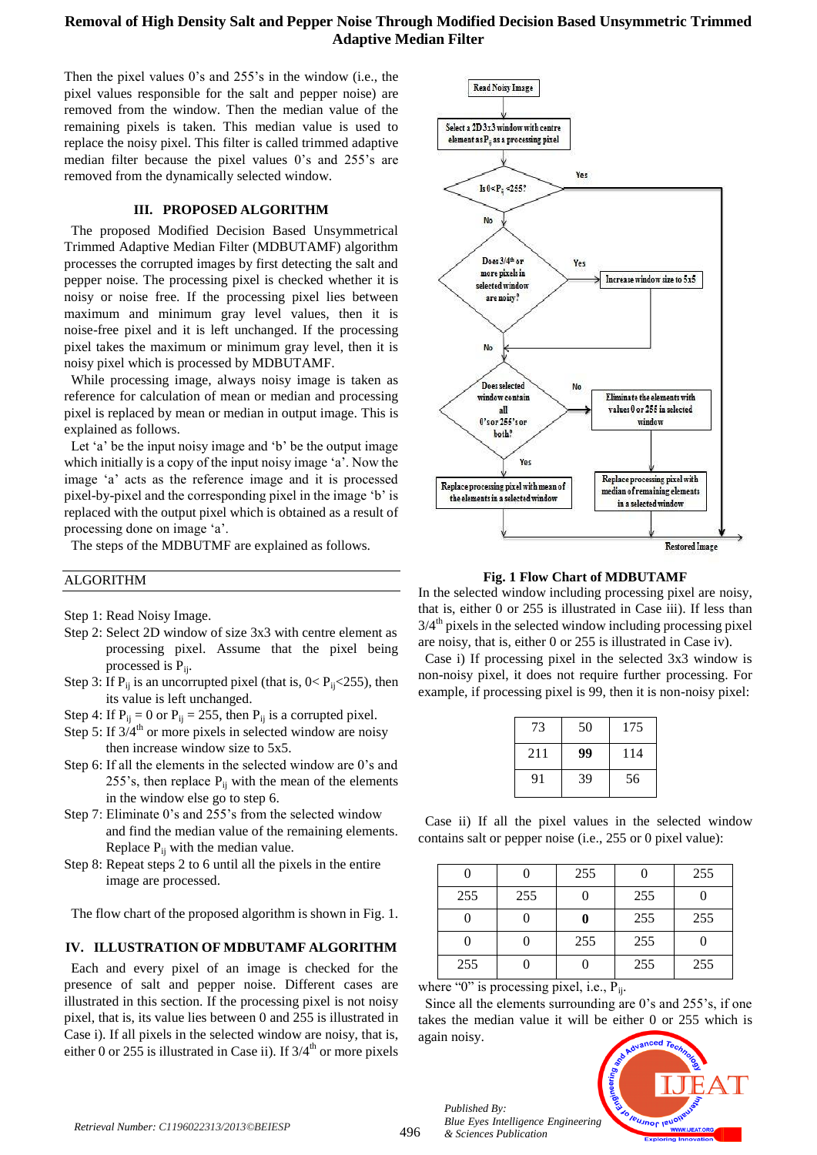# **Removal of High Density Salt and Pepper Noise Through Modified Decision Based Unsymmetric Trimmed Adaptive Median Filter**

Then the pixel values 0's and 255's in the window (i.e., the pixel values responsible for the salt and pepper noise) are removed from the window. Then the median value of the remaining pixels is taken. This median value is used to replace the noisy pixel. This filter is called trimmed adaptive median filter because the pixel values 0's and 255's are removed from the dynamically selected window.

#### **III. PROPOSED ALGORITHM**

 The proposed Modified Decision Based Unsymmetrical Trimmed Adaptive Median Filter (MDBUTAMF) algorithm processes the corrupted images by first detecting the salt and pepper noise. The processing pixel is checked whether it is noisy or noise free. If the processing pixel lies between maximum and minimum gray level values, then it is noise-free pixel and it is left unchanged. If the processing pixel takes the maximum or minimum gray level, then it is noisy pixel which is processed by MDBUTAMF.

 While processing image, always noisy image is taken as reference for calculation of mean or median and processing pixel is replaced by mean or median in output image. This is explained as follows.

 Let 'a' be the input noisy image and 'b' be the output image which initially is a copy of the input noisy image 'a'. Now the image 'a' acts as the reference image and it is processed pixel-by-pixel and the corresponding pixel in the image 'b' is replaced with the output pixel which is obtained as a result of processing done on image 'a'.

The steps of the MDBUTMF are explained as follows.

## ALGORITHM

Step 1: Read Noisy Image.

- Step 2: Select 2D window of size 3x3 with centre element as processing pixel. Assume that the pixel being processed is  $P_{ii}$ .
- Step 3: If  $P_{ii}$  is an uncorrupted pixel (that is,  $0 < P_{ii} < 255$ ), then its value is left unchanged.
- Step 4: If  $P_{ii} = 0$  or  $P_{ii} = 255$ , then  $P_{ii}$  is a corrupted pixel.
- Step 5: If  $3/4<sup>th</sup>$  or more pixels in selected window are noisy then increase window size to 5x5.
- Step 6: If all the elements in the selected window are 0's and 255's, then replace  $P_{ii}$  with the mean of the elements in the window else go to step 6.
- Step 7: Eliminate 0's and 255's from the selected window and find the median value of the remaining elements. Replace  $P_{ii}$  with the median value.
- Step 8: Repeat steps 2 to 6 until all the pixels in the entire image are processed.

The flow chart of the proposed algorithm is shown in Fig. 1.

## **IV. ILLUSTRATION OF MDBUTAMF ALGORITHM**

 Each and every pixel of an image is checked for the presence of salt and pepper noise. Different cases are illustrated in this section. If the processing pixel is not noisy pixel, that is, its value lies between 0 and 255 is illustrated in Case i). If all pixels in the selected window are noisy, that is, either 0 or 255 is illustrated in Case ii). If  $3/4<sup>th</sup>$  or more pixels



**Fig. 1 Flow Chart of MDBUTAMF**

In the selected window including processing pixel are noisy, that is, either 0 or 255 is illustrated in Case iii). If less than  $3/4<sup>th</sup>$  pixels in the selected window including processing pixel are noisy, that is, either 0 or 255 is illustrated in Case iv).

 Case i) If processing pixel in the selected 3x3 window is non-noisy pixel, it does not require further processing. For example, if processing pixel is 99, then it is non-noisy pixel:

| 73  | 50 | 175 |
|-----|----|-----|
| 211 | 99 | 114 |
| 91  | 39 | 56  |

 Case ii) If all the pixel values in the selected window contains salt or pepper noise (i.e., 255 or 0 pixel value):

|     |     | 255 |     | 255 |
|-----|-----|-----|-----|-----|
| 255 | 255 |     | 255 |     |
|     |     |     | 255 | 255 |
|     |     | 255 | 255 |     |
| 255 |     |     | 255 | 255 |

where "0" is processing pixel, i.e.,  $P_{ii}$ .

 Since all the elements surrounding are 0's and 255's, if one takes the median value it will be either 0 or 255 which is again noisy.



496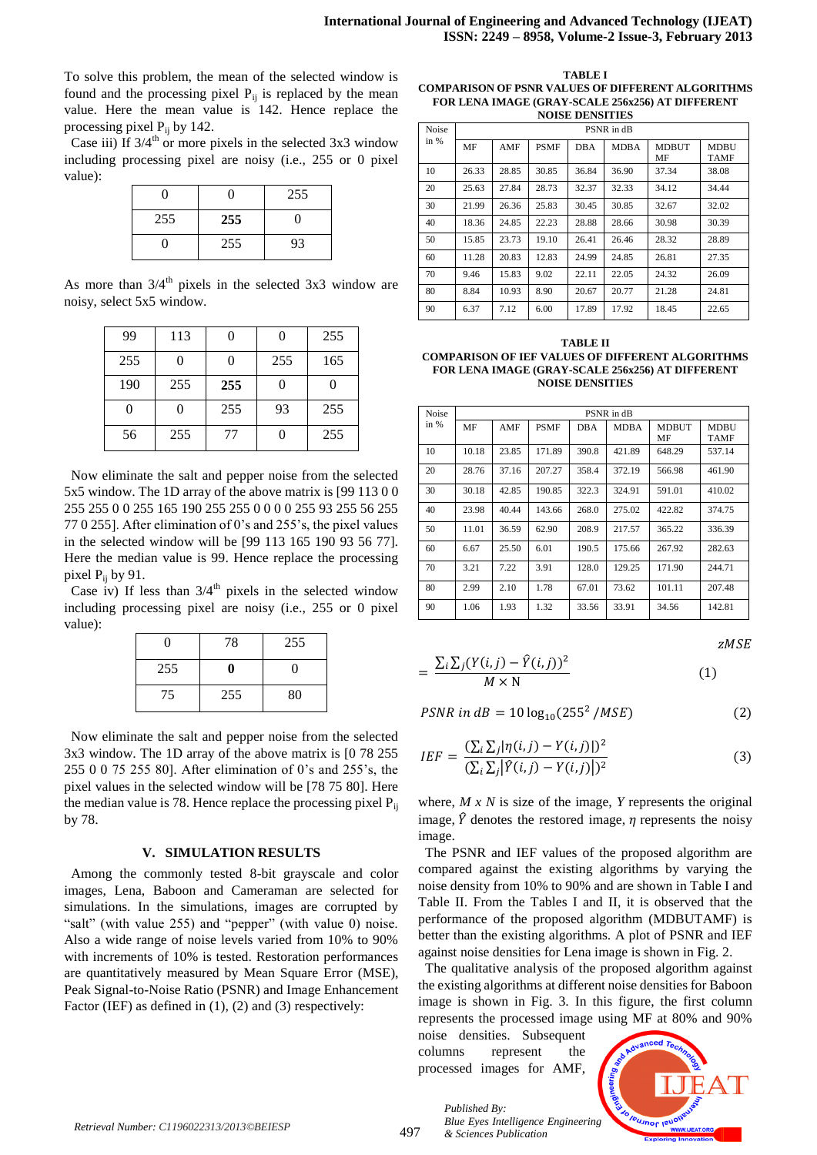To solve this problem, the mean of the selected window is found and the processing pixel  $P_{ij}$  is replaced by the mean value. Here the mean value is 142. Hence replace the processing pixel  $P_{ij}$  by 142.

Case iii) If  $3/4<sup>th</sup>$  or more pixels in the selected 3x3 window including processing pixel are noisy (i.e., 255 or 0 pixel value):

| 0   |     | 255 |
|-----|-----|-----|
| 255 | 255 | 0   |
| 0   | 255 | 93  |

As more than  $3/4<sup>th</sup>$  pixels in the selected 3x3 window are noisy, select 5x5 window.

| 99  | 113 |     |     | 255 |
|-----|-----|-----|-----|-----|
| 255 |     |     | 255 | 165 |
| 190 | 255 | 255 |     |     |
| 0   |     | 255 | 93  | 255 |
| 56  | 255 | 77  |     | 255 |

 Now eliminate the salt and pepper noise from the selected 5x5 window. The 1D array of the above matrix is [99 113 0 0 255 255 0 0 255 165 190 255 255 0 0 0 0 255 93 255 56 255 77 0 255]. After elimination of 0's and 255's, the pixel values in the selected window will be [99 113 165 190 93 56 77]. Here the median value is 99. Hence replace the processing pixel  $P_{ii}$  by 91.

Case iv) If less than  $3/4<sup>th</sup>$  pixels in the selected window including processing pixel are noisy (i.e., 255 or 0 pixel value):

| 0   | 78  | 255 |
|-----|-----|-----|
| 255 | 0   | 0   |
| 75  | 255 | 80  |

 Now eliminate the salt and pepper noise from the selected 3x3 window. The 1D array of the above matrix is [0 78 255 255 0 0 75 255 80]. After elimination of 0's and 255's, the pixel values in the selected window will be [78 75 80]. Here the median value is 78. Hence replace the processing pixel  $P_{ii}$ by 78.

#### **V. SIMULATION RESULTS**

 Among the commonly tested 8-bit grayscale and color images, Lena, Baboon and Cameraman are selected for simulations. In the simulations, images are corrupted by "salt" (with value 255) and "pepper" (with value 0) noise. Also a wide range of noise levels varied from 10% to 90% with increments of 10% is tested. Restoration performances are quantitatively measured by Mean Square Error (MSE), Peak Signal-to-Noise Ratio (PSNR) and Image Enhancement Factor (IEF) as defined in (1), (2) and (3) respectively:

**TABLE I COMPARISON OF PSNR VALUES OF DIFFERENT ALGORITHMS FOR LENA IMAGE (GRAY-SCALE 256x256) AT DIFFERENT NOISE DENSITIES**

| Noise | PSNR in dB |       |             |            |             |                    |                            |  |
|-------|------------|-------|-------------|------------|-------------|--------------------|----------------------------|--|
| in %  | MF         | AMF   | <b>PSMF</b> | <b>DBA</b> | <b>MDBA</b> | <b>MDBUT</b><br>MF | <b>MDBU</b><br><b>TAMF</b> |  |
| 10    | 26.33      | 28.85 | 30.85       | 36.84      | 36.90       | 37.34              | 38.08                      |  |
| 20    | 25.63      | 27.84 | 28.73       | 32.37      | 32.33       | 34.12              | 34.44                      |  |
| 30    | 21.99      | 26.36 | 25.83       | 30.45      | 30.85       | 32.67              | 32.02                      |  |
| 40    | 18.36      | 24.85 | 22.23       | 28.88      | 28.66       | 30.98              | 30.39                      |  |
| 50    | 15.85      | 23.73 | 19.10       | 26.41      | 26.46       | 28.32              | 28.89                      |  |
| 60    | 11.28      | 20.83 | 12.83       | 24.99      | 24.85       | 26.81              | 27.35                      |  |
| 70    | 9.46       | 15.83 | 9.02        | 22.11      | 22.05       | 24.32              | 26.09                      |  |
| 80    | 8.84       | 10.93 | 8.90        | 20.67      | 20.77       | 21.28              | 24.81                      |  |
| 90    | 6.37       | 7.12  | 6.00        | 17.89      | 17.92       | 18.45              | 22.65                      |  |

**TABLE II COMPARISON OF IEF VALUES OF DIFFERENT ALGORITHMS FOR LENA IMAGE (GRAY-SCALE 256x256) AT DIFFERENT NOISE DENSITIES**

| Noise  |       | PSNR in dB |             |            |             |              |             |  |  |
|--------|-------|------------|-------------|------------|-------------|--------------|-------------|--|--|
| in $%$ | MF    | AMF        | <b>PSMF</b> | <b>DBA</b> | <b>MDBA</b> | <b>MDBUT</b> | <b>MDBU</b> |  |  |
|        |       |            |             |            |             | MF           | <b>TAMF</b> |  |  |
| 10     | 10.18 | 23.85      | 171.89      | 390.8      | 421.89      | 648.29       | 537.14      |  |  |
| 20     | 28.76 | 37.16      | 207.27      | 358.4      | 372.19      | 566.98       | 461.90      |  |  |
| 30     | 30.18 | 42.85      | 190.85      | 322.3      | 324.91      | 591.01       | 410.02      |  |  |
| 40     | 23.98 | 40.44      | 143.66      | 268.0      | 275.02      | 422.82       | 374.75      |  |  |
| 50     | 11.01 | 36.59      | 62.90       | 208.9      | 217.57      | 365.22       | 336.39      |  |  |
| 60     | 6.67  | 25.50      | 6.01        | 190.5      | 175.66      | 267.92       | 282.63      |  |  |
| 70     | 3.21  | 7.22       | 3.91        | 128.0      | 129.25      | 171.90       | 244.71      |  |  |
| 80     | 2.99  | 2.10       | 1.78        | 67.01      | 73.62       | 101.11       | 207.48      |  |  |
| 90     | 1.06  | 1.93       | 1.32        | 33.56      | 33.91       | 34.56        | 142.81      |  |  |

zMSE

$$
= \frac{\sum_{i} \sum_{j} (Y(i,j) - \hat{Y}(i,j))^{2}}{M \times N}
$$
 (1)

$$
PSNR \ in \ dB = 10 \log_{10}(255^2 / MSE) \tag{2}
$$

$$
IEF = \frac{\left(\sum_{i}\sum_{j}|\eta(i,j) - Y(i,j)|\right)^{2}}{\left(\sum_{i}\sum_{j}|\hat{Y}(i,j) - Y(i,j)|\right)^{2}}
$$
\n(3)

where, *M x N* is size of the image, *Y* represents the original image,  $\hat{Y}$  denotes the restored image, *n* represents the noisy image.

 The PSNR and IEF values of the proposed algorithm are compared against the existing algorithms by varying the noise density from 10% to 90% and are shown in Table I and Table II. From the Tables I and II, it is observed that the performance of the proposed algorithm (MDBUTAMF) is better than the existing algorithms. A plot of PSNR and IEF against noise densities for Lena image is shown in Fig. 2.

 The qualitative analysis of the proposed algorithm against the existing algorithms at different noise densities for Baboon image is shown in Fig. 3. In this figure, the first column represents the processed image using MF at 80% and 90%

noise densities. Subsequent columns represent the processed images for AMF,

*Published By:*



*Retrieval Number: C1196022313/2013©BEIESP*<br>& Sciences Publication & A97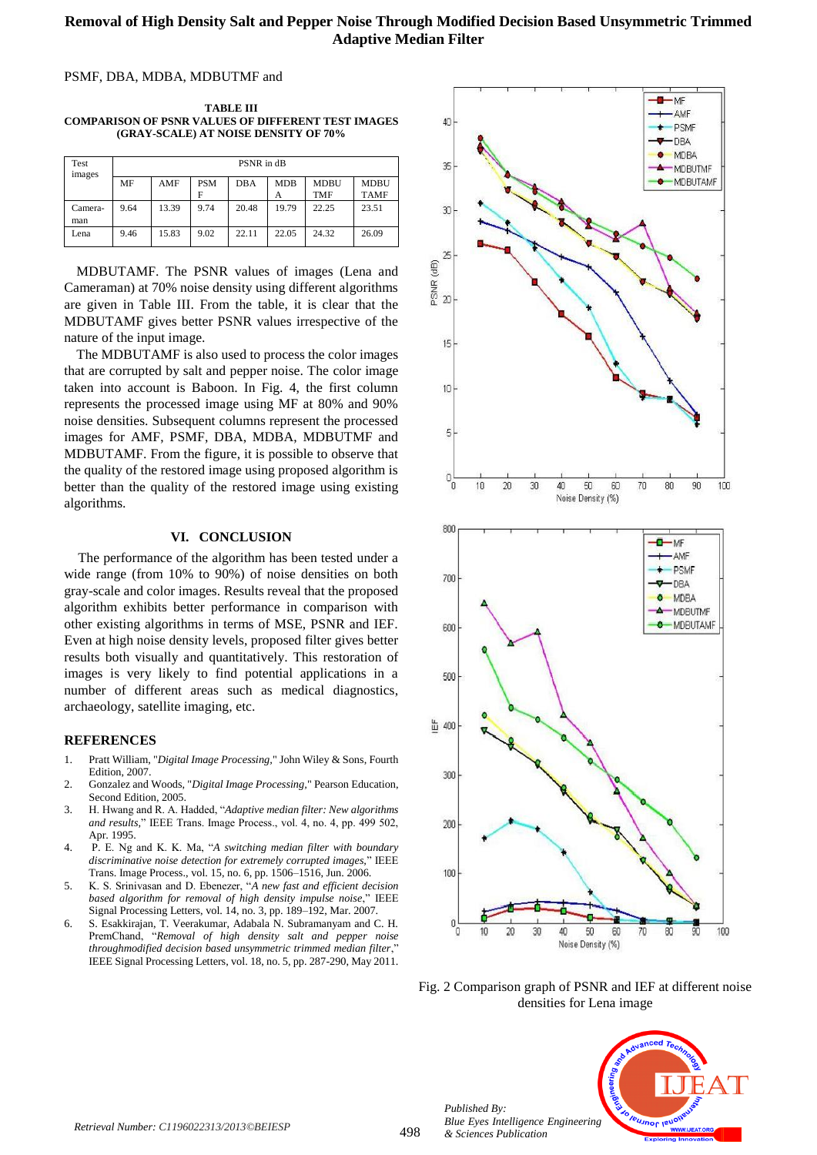# **Removal of High Density Salt and Pepper Noise Through Modified Decision Based Unsymmetric Trimmed Adaptive Median Filter**

#### PSMF, DBA, MDBA, MDBUTMF and

**TABLE III COMPARISON OF PSNR VALUES OF DIFFERENT TEST IMAGES (GRAY-SCALE) AT NOISE DENSITY OF 70%**

| Test<br>images | PSNR in dB |       |                 |            |                 |                           |                            |  |
|----------------|------------|-------|-----------------|------------|-----------------|---------------------------|----------------------------|--|
|                | MF         | AMF   | <b>PSM</b><br>F | <b>DBA</b> | <b>MDB</b><br>Α | <b>MDBU</b><br><b>TMF</b> | <b>MDBU</b><br><b>TAMF</b> |  |
| Camera-<br>man | 9.64       | 13.39 | 9.74            | 20.48      | 19.79           | 22.25                     | 23.51                      |  |
| Lena           | 9.46       | 15.83 | 9.02            | 22.11      | 22.05           | 24.32                     | 26.09                      |  |

MDBUTAMF. The PSNR values of images (Lena and Cameraman) at 70% noise density using different algorithms are given in Table III. From the table, it is clear that the MDBUTAMF gives better PSNR values irrespective of the nature of the input image.

The MDBUTAMF is also used to process the color images that are corrupted by salt and pepper noise. The color image taken into account is Baboon. In Fig. 4, the first column represents the processed image using MF at 80% and 90% noise densities. Subsequent columns represent the processed images for AMF, PSMF, DBA, MDBA, MDBUTMF and MDBUTAMF. From the figure, it is possible to observe that the quality of the restored image using proposed algorithm is better than the quality of the restored image using existing algorithms.

#### **VI. CONCLUSION**

The performance of the algorithm has been tested under a wide range (from 10% to 90%) of noise densities on both gray-scale and color images. Results reveal that the proposed algorithm exhibits better performance in comparison with other existing algorithms in terms of MSE, PSNR and IEF. Even at high noise density levels, proposed filter gives better results both visually and quantitatively. This restoration of images is very likely to find potential applications in a number of different areas such as medical diagnostics, archaeology, satellite imaging, etc.

#### **REFERENCES**

- 1. Pratt William, "*Digital Image Processing,*" John Wiley & Sons, Fourth Edition, 2007.
- 2. Gonzalez and Woods, "*Digital Image Processing,*" Pearson Education, Second Edition, 2005.
- 3. H. Hwang and R. A. Hadded, "*Adaptive median filter: New algorithms and results,*" IEEE Trans. Image Process., vol. 4, no. 4, pp. 499 502, Apr. 1995.
- 4. P. E. Ng and K. K. Ma, "*A switching median filter with boundary discriminative noise detection for extremely corrupted images,*" IEEE Trans. Image Process., vol. 15, no. 6, pp. 1506–1516, Jun. 2006.
- 5. K. S. Srinivasan and D. Ebenezer, "*A new fast and efficient decision based algorithm for removal of high density impulse noise*," IEEE Signal Processing Letters, vol. 14, no. 3, pp. 189–192, Mar. 2007.
- 6. S. Esakkirajan, T. Veerakumar, Adabala N. Subramanyam and C. H. PremChand, "*Removal of high density salt and pepper noise throughmodified decision based unsymmetric trimmed median filter*," IEEE Signal Processing Letters, vol. 18, no. 5, pp. 287-290, May 2011.



Fig. 2 Comparison graph of PSNR and IEF at different noise densities for Lena image



*Published By:*